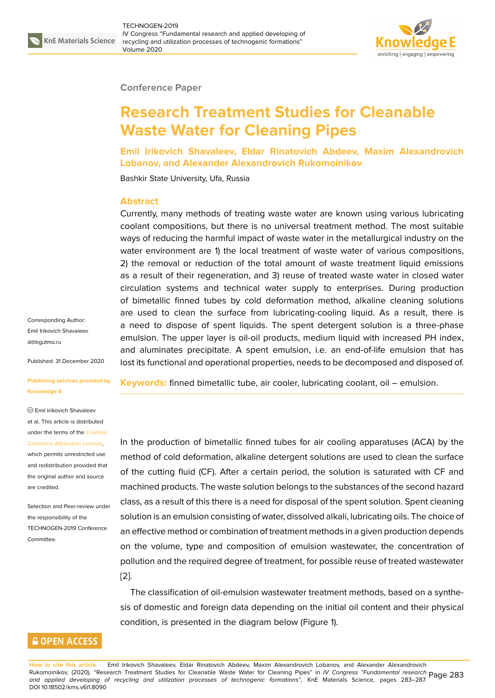

#### **Conference Paper**

# **Research Treatment Studies for Cleanable Waste Water for Cleaning Pipes**

**Emil Irikovich Shavaleev, Eldar Rinatovich Abdeev, Maxim Alexandrovich Lobanov, and Alexander Alexandrovich Rukomoinikov**

Bashkir State University, Ufa, Russia

#### **Abstract**

Currently, many methods of treating waste water are known using various lubricating coolant compositions, but there is no universal treatment method. The most suitable ways of reducing the harmful impact of waste water in the metallurgical industry on the water environment are 1) the local treatment of waste water of various compositions, 2) the removal or reduction of the total amount of waste treatment liquid emissions as a result of their regeneration, and 3) reuse of treated waste water in closed water circulation systems and technical water supply to enterprises. During production of bimetallic finned tubes by cold deformation method, alkaline cleaning solutions are used to clean the surface from lubricating-cooling liquid. As a result, there is a need to dispose of spent liquids. The spent detergent solution is a three-phase emulsion. The upper layer is oil-oil products, medium liquid with increased PH index, and aluminates precipitate. A spent emulsion, i.e. an end-of-life emulsion that has lost its functional and operational properties, needs to be decomposed and disposed of.

Corresponding Author: Emil Irikovich Shavaleev d@bgutmo.ru

Published: 31 December 2020

#### **[Publishing se](mailto:d@bgutmo.ru)rvices provided by Knowledge E**

Emil Irikovich Shavaleev

### et al. This article is distributed under the terms of the Creative Commons Attribution License,

which permits unrestricted use and redistribution provided that the original author and [source](https://creativecommons.org/licenses/by/4.0/) [are credited.](https://creativecommons.org/licenses/by/4.0/)

Selection and Peer-review under the responsibility of the TECHNOGEN-2019 Conference **Committee** 

**GOPEN ACCESS** 

**Keywords:** finned bimetallic tube, air cooler, lubricating coolant, oil – emulsion.

In the production of bimetallic finned tubes for air cooling apparatuses (ACA) by the method of cold deformation, alkaline detergent solutions are used to clean the surface of the cutting fluid (CF). After a certain period, the solution is saturated with CF and machined products. The waste solution belongs to the substances of the second hazard class, as a result of this there is a need for disposal of the spent solution. Spent cleaning solution is an emulsion consisting of water, dissolved alkali, lubricating oils. The choice of an effective method or combination of treatment methods in a given production depends on the volume, type and composition of emulsion wastewater, the concentration of pollution and the required degree of treatment, for possible reuse of treated wastewater [2].

The classification of oil-emulsion wastewater treatment methods, based on a synthesis of domestic and foreign data depending on the initial oil content and their physical [co](#page-4-0)ndition, is presented in the diagram below (Figure 1).

**How to cite this article**: Emil Irikovich Shavaleev, Eldar Rinatovich Abdeev, Maxim Alexandrovich Loba[no](#page-1-0)v, and Alexander Alexandrovich Rukomoinikov, (2020), "Research Treatment Studies for Cleanable Waste Water for Cleaning Pipes" in *IV Congress "Fundamental research* Page 283 *and applied developing of recycling and utilization processes of technogenic formations"*, KnE Materials Science, pages 283–287. DOI 10.18502/kms.v6i1.8090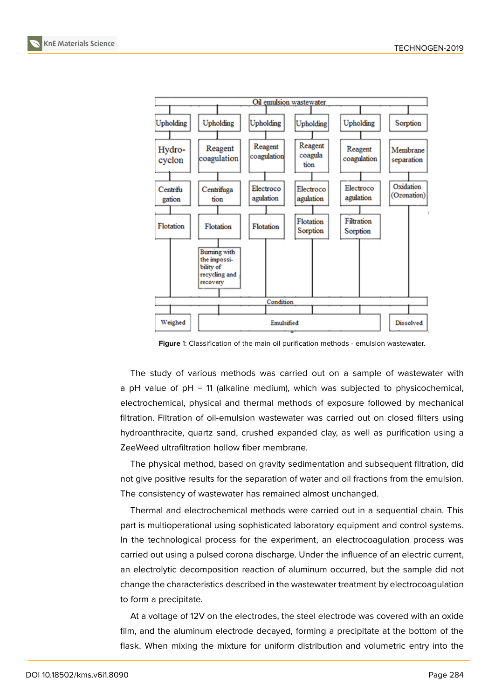



<span id="page-1-0"></span>**Figure** 1: Classification of the main oil purification methods - emulsion wastewater.

The study of various methods was carried out on a sample of wastewater with a pH value of pH = 11 (alkaline medium), which was subjected to physicochemical, electrochemical, physical and thermal methods of exposure followed by mechanical filtration. Filtration of oil-emulsion wastewater was carried out on closed filters using hydroanthracite, quartz sand, crushed expanded clay, as well as purification using a ZeeWeed ultrafiltration hollow fiber membrane.

The physical method, based on gravity sedimentation and subsequent filtration, did not give positive results for the separation of water and oil fractions from the emulsion. The consistency of wastewater has remained almost unchanged.

Thermal and electrochemical methods were carried out in a sequential chain. This part is multioperational using sophisticated laboratory equipment and control systems. In the technological process for the experiment, an electrocoagulation process was carried out using a pulsed corona discharge. Under the influence of an electric current, an electrolytic decomposition reaction of aluminum occurred, but the sample did not change the characteristics described in the wastewater treatment by electrocoagulation to form a precipitate.

At a voltage of 12V on the electrodes, the steel electrode was covered with an oxide film, and the aluminum electrode decayed, forming a precipitate at the bottom of the flask. When mixing the mixture for uniform distribution and volumetric entry into the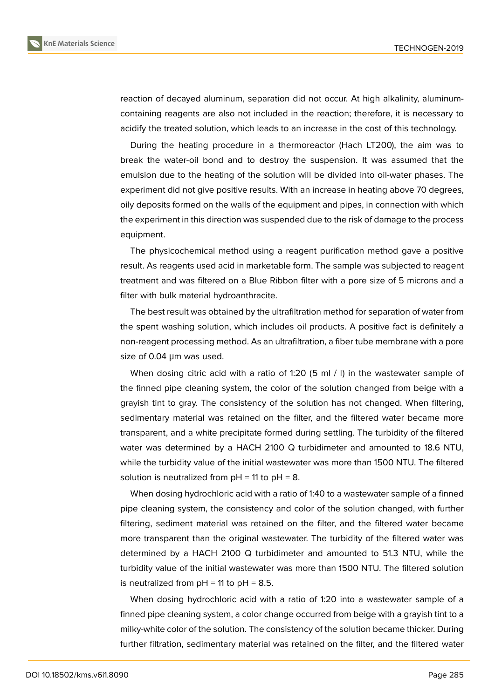reaction of decayed aluminum, separation did not occur. At high alkalinity, aluminumcontaining reagents are also not included in the reaction; therefore, it is necessary to acidify the treated solution, which leads to an increase in the cost of this technology.

During the heating procedure in a thermoreactor (Hach LT200), the aim was to break the water-oil bond and to destroy the suspension. It was assumed that the emulsion due to the heating of the solution will be divided into oil-water phases. The experiment did not give positive results. With an increase in heating above 70 degrees, oily deposits formed on the walls of the equipment and pipes, in connection with which the experiment in this direction was suspended due to the risk of damage to the process equipment.

The physicochemical method using a reagent purification method gave a positive result. As reagents used acid in marketable form. The sample was subjected to reagent treatment and was filtered on a Blue Ribbon filter with a pore size of 5 microns and a filter with bulk material hydroanthracite.

The best result was obtained by the ultrafiltration method for separation of water from the spent washing solution, which includes oil products. A positive fact is definitely a non-reagent processing method. As an ultrafiltration, a fiber tube membrane with a pore size of 0.04 μm was used.

When dosing citric acid with a ratio of 1:20 (5 ml / I) in the wastewater sample of the finned pipe cleaning system, the color of the solution changed from beige with a grayish tint to gray. The consistency of the solution has not changed. When filtering, sedimentary material was retained on the filter, and the filtered water became more transparent, and a white precipitate formed during settling. The turbidity of the filtered water was determined by a HACH 2100 Q turbidimeter and amounted to 18.6 NTU, while the turbidity value of the initial wastewater was more than 1500 NTU. The filtered solution is neutralized from  $pH = 11$  to  $pH = 8$ .

When dosing hydrochloric acid with a ratio of 1:40 to a wastewater sample of a finned pipe cleaning system, the consistency and color of the solution changed, with further filtering, sediment material was retained on the filter, and the filtered water became more transparent than the original wastewater. The turbidity of the filtered water was determined by a HACH 2100 Q turbidimeter and amounted to 51.3 NTU, while the turbidity value of the initial wastewater was more than 1500 NTU. The filtered solution is neutralized from  $pH = 11$  to  $pH = 8.5$ .

When dosing hydrochloric acid with a ratio of 1:20 into a wastewater sample of a finned pipe cleaning system, a color change occurred from beige with a grayish tint to a milky-white color of the solution. The consistency of the solution became thicker. During further filtration, sedimentary material was retained on the filter, and the filtered water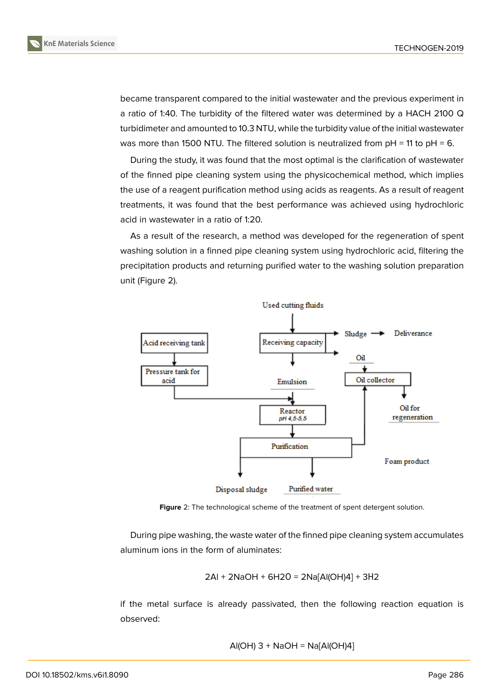became transparent compared to the initial wastewater and the previous experiment in a ratio of 1:40. The turbidity of the filtered water was determined by a HACH 2100 Q turbidimeter and amounted to 10.3 NTU, while the turbidity value of the initial wastewater was more than 1500 NTU. The filtered solution is neutralized from  $pH = 11$  to  $pH = 6$ .

During the study, it was found that the most optimal is the clarification of wastewater of the finned pipe cleaning system using the physicochemical method, which implies the use of a reagent purification method using acids as reagents. As a result of reagent treatments, it was found that the best performance was achieved using hydrochloric acid in wastewater in a ratio of 1:20.

As a result of the research, a method was developed for the regeneration of spent washing solution in a finned pipe cleaning system using hydrochloric acid, filtering the precipitation products and returning purified water to the washing solution preparation unit (Figure 2).



**Figure** 2: The technological scheme of the treatment of spent detergent solution.

During pipe washing, the waste water of the finned pipe cleaning system accumulates aluminum ions in the form of aluminates:

$$
2AI + 2NaOH + 6H2O = 2Na[AI(OH)4] + 3H2
$$

if the metal surface is already passivated, then the following reaction equation is observed:

$$
AI(OH) 3 + NaOH = Na[Al(OH)4]
$$